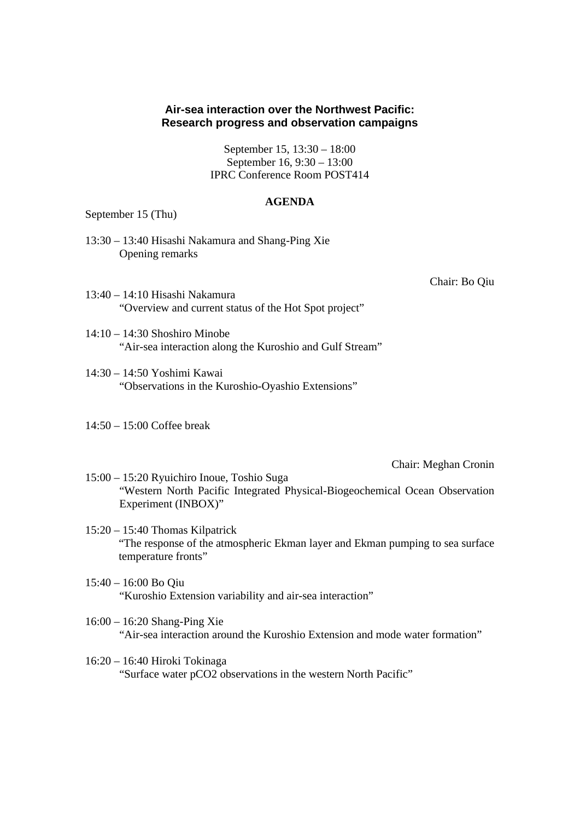## **Air-sea interaction over the Northwest Pacific: Research progress and observation campaigns**

September 15, 13:30 – 18:00 September 16, 9:30 – 13:00 IPRC Conference Room POST414

## **AGENDA**

September 15 (Thu)

13:30 – 13:40 Hisashi Nakamura and Shang-Ping Xie Opening remarks

Chair: Bo Qiu

- 13:40 14:10 Hisashi Nakamura "Overview and current status of the Hot Spot project"
- 14:10 14:30 Shoshiro Minobe "Air-sea interaction along the Kuroshio and Gulf Stream"
- 14:30 14:50 Yoshimi Kawai "Observations in the Kuroshio-Oyashio Extensions"
- 14:50 15:00 Coffee break

Chair: Meghan Cronin

- 15:00 15:20 Ryuichiro Inoue, Toshio Suga "Western North Pacific Integrated Physical-Biogeochemical Ocean Observation Experiment (INBOX)"
- 15:20 15:40 Thomas Kilpatrick "The response of the atmospheric Ekman layer and Ekman pumping to sea surface temperature fronts"
- 15:40 16:00 Bo Qiu "Kuroshio Extension variability and air-sea interaction"
- 16:00 16:20 Shang-Ping Xie "Air-sea interaction around the Kuroshio Extension and mode water formation"
- 16:20 16:40 Hiroki Tokinaga "Surface water pCO2 observations in the western North Pacific"